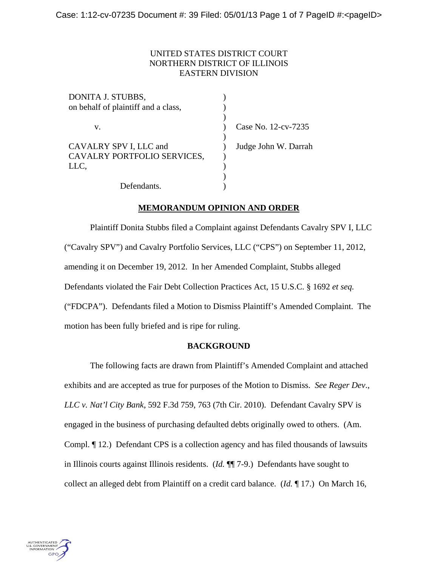## UNITED STATES DISTRICT COURT NORTHERN DISTRICT OF ILLINOIS EASTERN DIVISION

| DONITA J. STUBBS,                   |                      |
|-------------------------------------|----------------------|
| on behalf of plaintiff and a class, |                      |
|                                     |                      |
| v.                                  | Case No. 12-cv-7235  |
|                                     |                      |
| CAVALRY SPV I, LLC and              | Judge John W. Darrah |
| CAVALRY PORTFOLIO SERVICES,         |                      |
| LLC,                                |                      |
|                                     |                      |
| Defendants.                         |                      |
|                                     |                      |

# **MEMORANDUM OPINION AND ORDER**

Plaintiff Donita Stubbs filed a Complaint against Defendants Cavalry SPV I, LLC ("Cavalry SPV") and Cavalry Portfolio Services, LLC ("CPS") on September 11, 2012, amending it on December 19, 2012. In her Amended Complaint, Stubbs alleged Defendants violated the Fair Debt Collection Practices Act, 15 U.S.C. § 1692 *et seq.* ("FDCPA"). Defendants filed a Motion to Dismiss Plaintiff's Amended Complaint. The motion has been fully briefed and is ripe for ruling.

## **BACKGROUND**

The following facts are drawn from Plaintiff's Amended Complaint and attached exhibits and are accepted as true for purposes of the Motion to Dismiss. *See Reger Dev*.*, LLC v. Nat'l City Bank*, 592 F.3d 759, 763 (7th Cir. 2010). Defendant Cavalry SPV is engaged in the business of purchasing defaulted debts originally owed to others. (Am. Compl. ¶ 12.) Defendant CPS is a collection agency and has filed thousands of lawsuits in Illinois courts against Illinois residents. (*Id.* ¶¶ 7-9.) Defendants have sought to collect an alleged debt from Plaintiff on a credit card balance. (*Id.* ¶ 17.) On March 16,

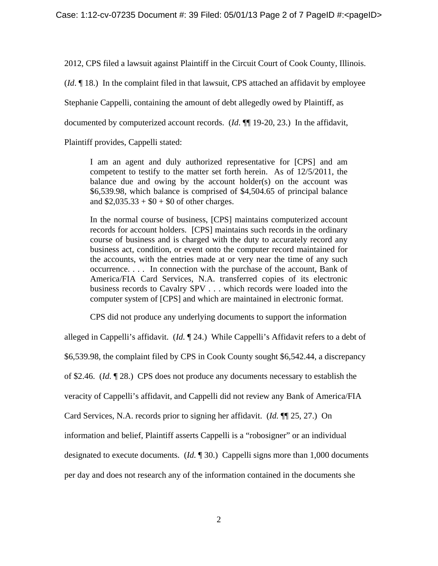2012, CPS filed a lawsuit against Plaintiff in the Circuit Court of Cook County, Illinois.

(*Id*. ¶ 18.) In the complaint filed in that lawsuit, CPS attached an affidavit by employee

Stephanie Cappelli, containing the amount of debt allegedly owed by Plaintiff, as

documented by computerized account records. (*Id*. ¶¶ 19-20, 23.) In the affidavit,

Plaintiff provides, Cappelli stated:

I am an agent and duly authorized representative for [CPS] and am competent to testify to the matter set forth herein. As of 12/5/2011, the balance due and owing by the account holder(s) on the account was \$6,539.98, which balance is comprised of \$4,504.65 of principal balance and  $$2,035.33 + $0 + $0$  of other charges.

In the normal course of business, [CPS] maintains computerized account records for account holders. [CPS] maintains such records in the ordinary course of business and is charged with the duty to accurately record any business act, condition, or event onto the computer record maintained for the accounts, with the entries made at or very near the time of any such occurrence. . . . In connection with the purchase of the account, Bank of America/FIA Card Services, N.A. transferred copies of its electronic business records to Cavalry SPV . . . which records were loaded into the computer system of [CPS] and which are maintained in electronic format.

CPS did not produce any underlying documents to support the information

alleged in Cappelli's affidavit. (*Id.* ¶ 24.) While Cappelli's Affidavit refers to a debt of \$6,539.98, the complaint filed by CPS in Cook County sought \$6,542.44, a discrepancy of \$2.46. (*Id.* ¶ 28.) CPS does not produce any documents necessary to establish the veracity of Cappelli's affidavit, and Cappelli did not review any Bank of America/FIA Card Services, N.A. records prior to signing her affidavit. (*Id.* ¶¶ 25, 27.) On information and belief, Plaintiff asserts Cappelli is a "robosigner" or an individual designated to execute documents. (*Id.* ¶ 30.) Cappelli signs more than 1,000 documents per day and does not research any of the information contained in the documents she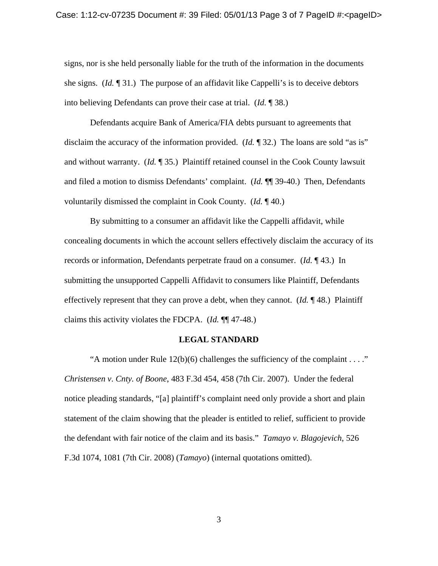signs, nor is she held personally liable for the truth of the information in the documents she signs. (*Id.* ¶ 31.) The purpose of an affidavit like Cappelli's is to deceive debtors into believing Defendants can prove their case at trial. (*Id.* ¶ 38.)

Defendants acquire Bank of America/FIA debts pursuant to agreements that disclaim the accuracy of the information provided. (*Id.* 1932.) The loans are sold "as is" and without warranty. (*Id.* ¶ 35.) Plaintiff retained counsel in the Cook County lawsuit and filed a motion to dismiss Defendants' complaint. (*Id.* ¶¶ 39-40.) Then, Defendants voluntarily dismissed the complaint in Cook County. (*Id.* ¶ 40.)

By submitting to a consumer an affidavit like the Cappelli affidavit, while concealing documents in which the account sellers effectively disclaim the accuracy of its records or information, Defendants perpetrate fraud on a consumer. (*Id.* ¶ 43.) In submitting the unsupported Cappelli Affidavit to consumers like Plaintiff, Defendants effectively represent that they can prove a debt, when they cannot. (*Id.* ¶ 48.) Plaintiff claims this activity violates the FDCPA. (*Id.* ¶¶ 47-48.)

#### **LEGAL STANDARD**

"A motion under Rule  $12(b)(6)$  challenges the sufficiency of the complaint . . . ." *Christensen v*. *Cnty. of Boone*, 483 F.3d 454, 458 (7th Cir. 2007). Under the federal notice pleading standards, "[a] plaintiff's complaint need only provide a short and plain statement of the claim showing that the pleader is entitled to relief, sufficient to provide the defendant with fair notice of the claim and its basis." *Tamayo v. Blagojevich*, 526 F.3d 1074, 1081 (7th Cir. 2008) (*Tamayo*) (internal quotations omitted).

3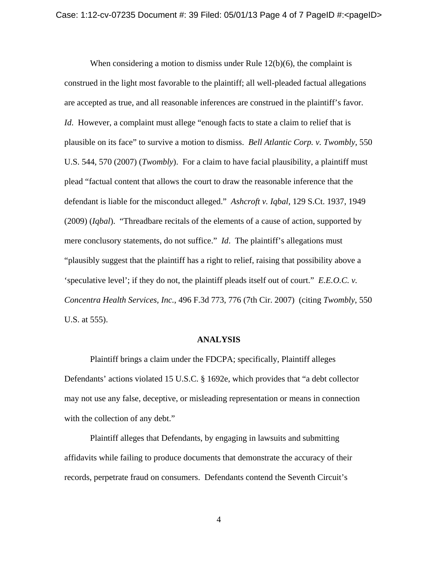When considering a motion to dismiss under Rule 12(b)(6), the complaint is construed in the light most favorable to the plaintiff; all well-pleaded factual allegations are accepted as true, and all reasonable inferences are construed in the plaintiff's favor. *Id.* However, a complaint must allege "enough facts to state a claim to relief that is plausible on its face" to survive a motion to dismiss. *Bell Atlantic Corp. v. Twombly*, 550 U.S. 544, 570 (2007) (*Twombly*). For a claim to have facial plausibility, a plaintiff must plead "factual content that allows the court to draw the reasonable inference that the defendant is liable for the misconduct alleged." *Ashcroft v. Iqbal*, 129 S.Ct. 1937, 1949 (2009) (*Iqbal*). "Threadbare recitals of the elements of a cause of action, supported by mere conclusory statements, do not suffice." *Id*. The plaintiff's allegations must "plausibly suggest that the plaintiff has a right to relief, raising that possibility above a 'speculative level'; if they do not, the plaintiff pleads itself out of court." *E.E.O.C. v. Concentra Health Services, Inc.*, 496 F.3d 773, 776 (7th Cir. 2007) (citing *Twombly*, 550 U.S. at 555).

#### **ANALYSIS**

 Plaintiff brings a claim under the FDCPA; specifically, Plaintiff alleges Defendants' actions violated 15 U.S.C. § 1692e, which provides that "a debt collector may not use any false, deceptive, or misleading representation or means in connection with the collection of any debt."

 Plaintiff alleges that Defendants, by engaging in lawsuits and submitting affidavits while failing to produce documents that demonstrate the accuracy of their records, perpetrate fraud on consumers. Defendants contend the Seventh Circuit's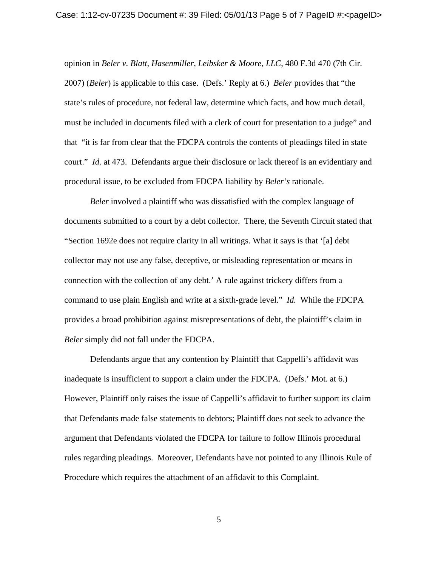opinion in *Beler v. Blatt, Hasenmiller, Leibsker & Moore, LLC*, 480 F.3d 470 (7th Cir. 2007) (*Beler*) is applicable to this case. (Defs.' Reply at 6.) *Beler* provides that "the state's rules of procedure, not federal law, determine which facts, and how much detail, must be included in documents filed with a clerk of court for presentation to a judge" and that "it is far from clear that the FDCPA controls the contents of pleadings filed in state court." *Id.* at 473. Defendants argue their disclosure or lack thereof is an evidentiary and procedural issue, to be excluded from FDCPA liability by *Beler's* rationale.

*Beler* involved a plaintiff who was dissatisfied with the complex language of documents submitted to a court by a debt collector. There, the Seventh Circuit stated that "Section 1692e does not require clarity in all writings. What it says is that '[a] debt collector may not use any false, deceptive, or misleading representation or means in connection with the collection of any debt.' A rule against trickery differs from a command to use plain English and write at a sixth-grade level." *Id.* While the FDCPA provides a broad prohibition against misrepresentations of debt, the plaintiff's claim in *Beler* simply did not fall under the FDCPA.

Defendants argue that any contention by Plaintiff that Cappelli's affidavit was inadequate is insufficient to support a claim under the FDCPA. (Defs.' Mot. at 6.) However, Plaintiff only raises the issue of Cappelli's affidavit to further support its claim that Defendants made false statements to debtors; Plaintiff does not seek to advance the argument that Defendants violated the FDCPA for failure to follow Illinois procedural rules regarding pleadings. Moreover, Defendants have not pointed to any Illinois Rule of Procedure which requires the attachment of an affidavit to this Complaint.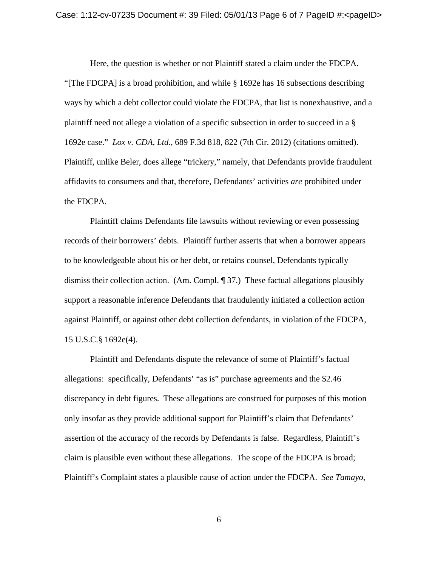Here, the question is whether or not Plaintiff stated a claim under the FDCPA. "[The FDCPA] is a broad prohibition, and while § 1692e has 16 subsections describing ways by which a debt collector could violate the FDCPA, that list is nonexhaustive, and a plaintiff need not allege a violation of a specific subsection in order to succeed in a § 1692e case." *Lox v. CDA, Ltd.*, 689 F.3d 818, 822 (7th Cir. 2012) (citations omitted). Plaintiff, unlike Beler, does allege "trickery," namely, that Defendants provide fraudulent affidavits to consumers and that, therefore, Defendants' activities *are* prohibited under the FDCPA.

Plaintiff claims Defendants file lawsuits without reviewing or even possessing records of their borrowers' debts. Plaintiff further asserts that when a borrower appears to be knowledgeable about his or her debt, or retains counsel, Defendants typically dismiss their collection action. (Am. Compl. ¶ 37.) These factual allegations plausibly support a reasonable inference Defendants that fraudulently initiated a collection action against Plaintiff, or against other debt collection defendants, in violation of the FDCPA, 15 U.S.C.§ 1692e(4).

Plaintiff and Defendants dispute the relevance of some of Plaintiff's factual allegations: specifically, Defendants' "as is" purchase agreements and the \$2.46 discrepancy in debt figures. These allegations are construed for purposes of this motion only insofar as they provide additional support for Plaintiff's claim that Defendants' assertion of the accuracy of the records by Defendants is false. Regardless, Plaintiff's claim is plausible even without these allegations. The scope of the FDCPA is broad; Plaintiff's Complaint states a plausible cause of action under the FDCPA. *See Tamayo*,

6